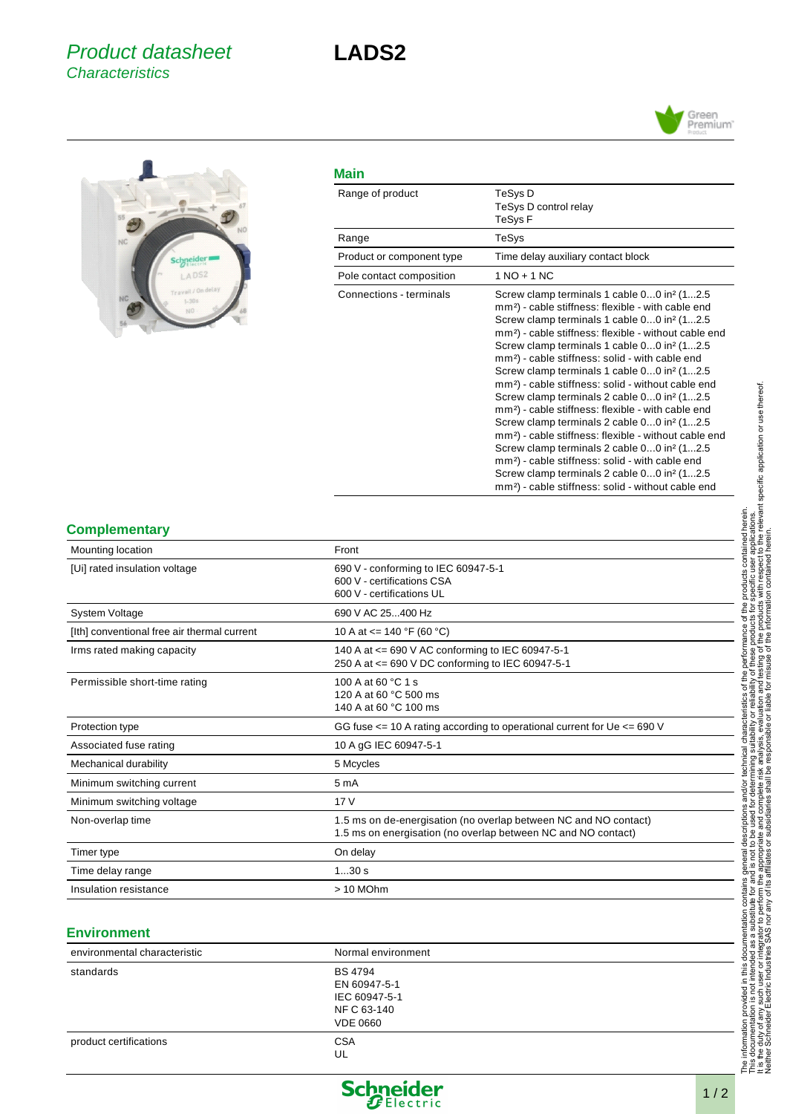



## **Main**

| Range of product          | TeSys D<br>TeSys D control relay<br>TeSys F                                                                                                                                                                                                                                                                                                                                                                                                                                                                                                                                                                                                                                                                                                                                                                                                                                                                                                                                                                                          |
|---------------------------|--------------------------------------------------------------------------------------------------------------------------------------------------------------------------------------------------------------------------------------------------------------------------------------------------------------------------------------------------------------------------------------------------------------------------------------------------------------------------------------------------------------------------------------------------------------------------------------------------------------------------------------------------------------------------------------------------------------------------------------------------------------------------------------------------------------------------------------------------------------------------------------------------------------------------------------------------------------------------------------------------------------------------------------|
| Range                     | TeSys                                                                                                                                                                                                                                                                                                                                                                                                                                                                                                                                                                                                                                                                                                                                                                                                                                                                                                                                                                                                                                |
| Product or component type | Time delay auxiliary contact block                                                                                                                                                                                                                                                                                                                                                                                                                                                                                                                                                                                                                                                                                                                                                                                                                                                                                                                                                                                                   |
| Pole contact composition  | $1 NQ + 1 NC$                                                                                                                                                                                                                                                                                                                                                                                                                                                                                                                                                                                                                                                                                                                                                                                                                                                                                                                                                                                                                        |
| Connections - terminals   | Screw clamp terminals 1 cable 00 in <sup>2</sup> (12.5)<br>mm <sup>2</sup> ) - cable stiffness: flexible - with cable end<br>Screw clamp terminals 1 cable 00 in <sup>2</sup> (12.5)<br>mm <sup>2</sup> ) - cable stiffness: flexible - without cable end<br>Screw clamp terminals 1 cable 00 in <sup>2</sup> (12.5)<br>mm <sup>2</sup> ) - cable stiffness: solid - with cable end<br>Screw clamp terminals 1 cable 00 in <sup>2</sup> (12.5)<br>mm <sup>2</sup> ) - cable stiffness: solid - without cable end<br>Screw clamp terminals 2 cable 00 in <sup>2</sup> (12.5)<br>mm <sup>2</sup> ) - cable stiffness: flexible - with cable end<br>Screw clamp terminals 2 cable 00 in <sup>2</sup> (12.5)<br>mm <sup>2</sup> ) - cable stiffness: flexible - without cable end<br>Screw clamp terminals 2 cable 00 in <sup>2</sup> (12.5)<br>mm <sup>2</sup> ) - cable stiffness: solid - with cable end<br>Screw clamp terminals 2 cable 00 in <sup>2</sup> (12.5)<br>mm <sup>2</sup> ) - cable stiffness: solid - without cable end |

## **Complementary**

| Mounting location                           | Front                                                                                                                             |
|---------------------------------------------|-----------------------------------------------------------------------------------------------------------------------------------|
| [Ui] rated insulation voltage               | 690 V - conforming to IEC 60947-5-1<br>600 V - certifications CSA<br>600 V - certifications UL                                    |
| <b>System Voltage</b>                       | 690 V AC 25400 Hz                                                                                                                 |
| [Ith] conventional free air thermal current | 10 A at $\leq$ 140 °F (60 °C)                                                                                                     |
| Irms rated making capacity                  | 140 A at <= 690 V AC conforming to IEC 60947-5-1<br>250 A at <= 690 V DC conforming to IEC 60947-5-1                              |
| Permissible short-time rating               | 100 A at 60 °C 1 s<br>120 A at 60 °C 500 ms<br>140 A at 60 °C 100 ms                                                              |
| Protection type                             | GG fuse $\le$ = 10 A rating according to operational current for Ue $\le$ = 690 V                                                 |
| Associated fuse rating                      | 10 A gG IEC 60947-5-1                                                                                                             |
| Mechanical durability                       | 5 Mcycles                                                                                                                         |
| Minimum switching current                   | 5 <sub>m</sub> A                                                                                                                  |
| Minimum switching voltage                   | 17V                                                                                                                               |
| Non-overlap time                            | 1.5 ms on de-energisation (no overlap between NC and NO contact)<br>1.5 ms on energisation (no overlap between NC and NO contact) |
| Timer type                                  | On delay                                                                                                                          |
| Time delay range                            | 130s                                                                                                                              |
| Insulation resistance                       | > 10 MOhm                                                                                                                         |

### **Environment**

| environmental characteristic | Normal environment                                                                |
|------------------------------|-----------------------------------------------------------------------------------|
| standards                    | <b>BS 4794</b><br>EN 60947-5-1<br>IEC 60947-5-1<br>NF C 63-140<br><b>VDE 0660</b> |
| product certifications       | <b>CSA</b><br>UL                                                                  |